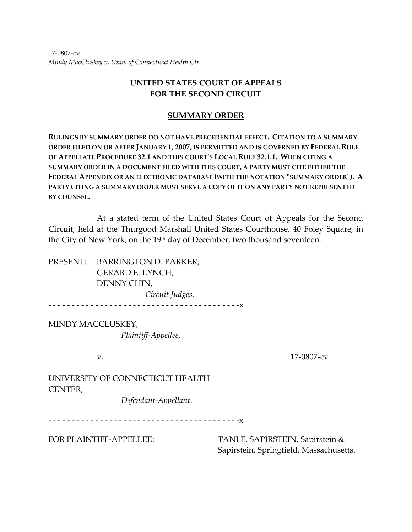17‐0807‐cv *Mindy MacCluskey v. Univ. of Connecticut Health Ctr.*

# **UNITED STATES COURT OF APPEALS FOR THE SECOND CIRCUIT**

## **SUMMARY ORDER**

**RULINGS BY SUMMARY ORDER DO NOT HAVE PRECEDENTIAL EFFECT. CITATION TO A SUMMARY ORDER FILED ON OR AFTER JANUARY 1, 2007, IS PERMITTED AND IS GOVERNED BY FEDERAL RULE OF APPELLATE PROCEDURE 32.1 AND THIS COURTʹS LOCAL RULE 32.1.1. WHEN CITING A SUMMARY ORDER IN A DOCUMENT FILED WITH THIS COURT, A PARTY MUST CITE EITHER THE FEDERAL APPENDIX OR AN ELECTRONIC DATABASE (WITH THE NOTATION ʺSUMMARY ORDERʺ). A PARTY CITING A SUMMARY ORDER MUST SERVE A COPY OF IT ON ANY PARTY NOT REPRESENTED BY COUNSEL.**

At a stated term of the United States Court of Appeals for the Second Circuit, held at the Thurgood Marshall United States Courthouse, 40 Foley Square, in the City of New York, on the 19<sup>th</sup> day of December, two thousand seventeen.

PRESENT: BARRINGTON D. PARKER, GERARD E. LYNCH, DENNY CHIN, *Circuit Judges.* ‐ ‐ ‐ ‐ ‐ ‐ ‐ ‐ ‐ ‐ ‐ ‐ ‐ ‐ ‐ ‐ ‐ ‐ ‐ ‐ ‐ ‐ ‐ ‐ ‐ ‐ ‐ ‐ ‐ ‐ ‐ ‐ ‐ ‐ ‐ ‐ ‐ ‐ ‐ ‐ ‐x

MINDY MACCLUSKEY, *Plaintiff‐Appellee*,

v. **17-0807-cv** 

UNIVERSITY OF CONNECTICUT HEALTH CENTER,

*Defendant‐Appellant*.

‐ ‐ ‐ ‐ ‐ ‐ ‐ ‐ ‐ ‐ ‐ ‐ ‐ ‐ ‐ ‐ ‐ ‐ ‐ ‐ ‐ ‐ ‐ ‐ ‐ ‐ ‐ ‐ ‐ ‐ ‐ ‐ ‐ ‐ ‐ ‐ ‐ ‐ ‐ ‐ ‐x

FOR PLAINTIFF-APPELLEE: TANI E. SAPIRSTEIN, Sapirstein & Sapirstein, Springfield, Massachusetts.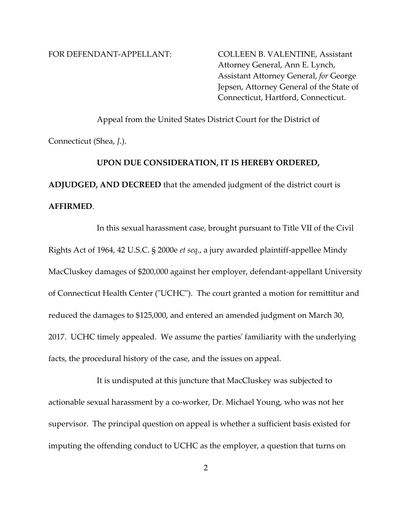FOR DEFENDANT-APPELLANT: COLLEEN B. VALENTINE, Assistant Attorney General, Ann E. Lynch, Assistant Attorney General, *for* George Jepsen, Attorney General of the State of Connecticut, Hartford, Connecticut.

 Appeal from the United States District Court for the District of Connecticut (Shea, *J*.).  **UPON DUE CONSIDERATION, IT IS HEREBY ORDERED,**

**ADJUDGED, AND DECREED** that the amended judgment of the district court is **AFFIRMED**.

 In this sexual harassment case, brought pursuant to Title VII of the Civil Rights Act of 1964, 42 U.S.C. § 2000e *et seq.*, a jury awarded plaintiff‐appellee Mindy MacCluskey damages of \$200,000 against her employer, defendant‐appellant University of Connecticut Health Center ("UCHC"). The court granted a motion for remittitur and reduced the damages to \$125,000, and entered an amended judgment on March 30, 2017. UCHC timely appealed. We assume the partiesʹ familiarity with the underlying facts, the procedural history of the case, and the issues on appeal.

It is undisputed at this juncture that MacCluskey was subjected to actionable sexual harassment by a co‐worker, Dr. Michael Young, who was not her supervisor. The principal question on appeal is whether a sufficient basis existed for imputing the offending conduct to UCHC as the employer, a question that turns on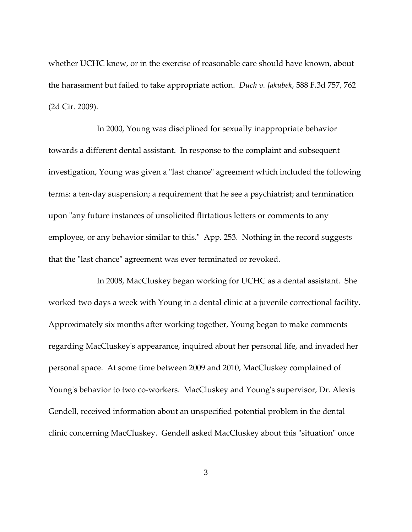whether UCHC knew, or in the exercise of reasonable care should have known, about the harassment but failed to take appropriate action. *Duch v. Jakubek*, 588 F.3d 757, 762 (2d Cir. 2009).

 In 2000, Young was disciplined for sexually inappropriate behavior towards a different dental assistant. In response to the complaint and subsequent investigation, Young was given a "last chance" agreement which included the following terms: a ten‐day suspension; a requirement that he see a psychiatrist; and termination upon "any future instances of unsolicited flirtatious letters or comments to any employee, or any behavior similar to this." App. 253. Nothing in the record suggests that the "last chance" agreement was ever terminated or revoked.

 In 2008, MacCluskey began working for UCHC as a dental assistant. She worked two days a week with Young in a dental clinic at a juvenile correctional facility. Approximately six months after working together, Young began to make comments regarding MacCluskeyʹs appearance, inquired about her personal life, and invaded her personal space. At some time between 2009 and 2010, MacCluskey complained of Young's behavior to two co-workers. MacCluskey and Young's supervisor, Dr. Alexis Gendell, received information about an unspecified potential problem in the dental clinic concerning MacCluskey. Gendell asked MacCluskey about this "situation" once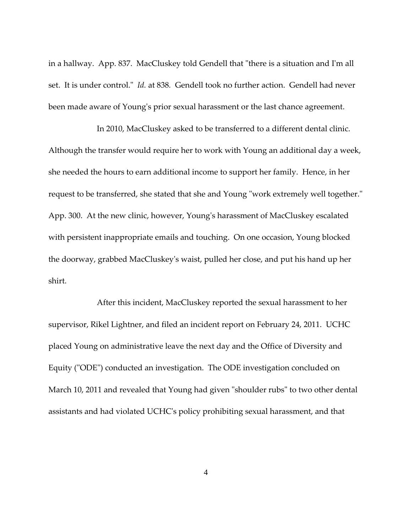in a hallway. App. 837. MacCluskey told Gendell that "there is a situation and I'm all set. It is under control." *Id.* at 838. Gendell took no further action. Gendell had never been made aware of Young's prior sexual harassment or the last chance agreement.

In 2010, MacCluskey asked to be transferred to a different dental clinic. Although the transfer would require her to work with Young an additional day a week, she needed the hours to earn additional income to support her family. Hence, in her request to be transferred, she stated that she and Young "work extremely well together." App. 300. At the new clinic, however, Young's harassment of MacCluskey escalated with persistent inappropriate emails and touching. On one occasion, Young blocked the doorway, grabbed MacCluskeyʹs waist, pulled her close, and put his hand up her shirt.

After this incident, MacCluskey reported the sexual harassment to her supervisor, Rikel Lightner, and filed an incident report on February 24, 2011. UCHC placed Young on administrative leave the next day and the Office of Diversity and Equity ("ODE") conducted an investigation. The ODE investigation concluded on March 10, 2011 and revealed that Young had given "shoulder rubs" to two other dental assistants and had violated UCHCʹs policy prohibiting sexual harassment, and that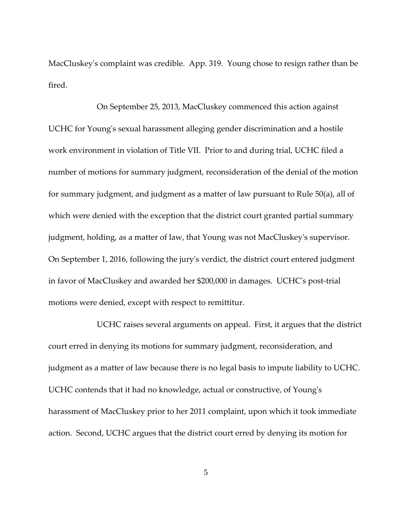MacCluskeyʹs complaint was credible. App. 319. Young chose to resign rather than be fired.

On September 25, 2013, MacCluskey commenced this action against UCHC for Youngʹs sexual harassment alleging gender discrimination and a hostile work environment in violation of Title VII. Prior to and during trial, UCHC filed a number of motions for summary judgment, reconsideration of the denial of the motion for summary judgment, and judgment as a matter of law pursuant to Rule 50(a), all of which were denied with the exception that the district court granted partial summary judgment, holding, as a matter of law, that Young was not MacCluskeyʹs supervisor. On September 1, 2016, following the juryʹs verdict, the district court entered judgment in favor of MacCluskey and awarded her \$200,000 in damages. UCHC's post-trial motions were denied, except with respect to remittitur.

 UCHC raises several arguments on appeal. First, it argues that the district court erred in denying its motions for summary judgment, reconsideration, and judgment as a matter of law because there is no legal basis to impute liability to UCHC. UCHC contends that it had no knowledge, actual or constructive, of Youngʹs harassment of MacCluskey prior to her 2011 complaint, upon which it took immediate action. Second, UCHC argues that the district court erred by denying its motion for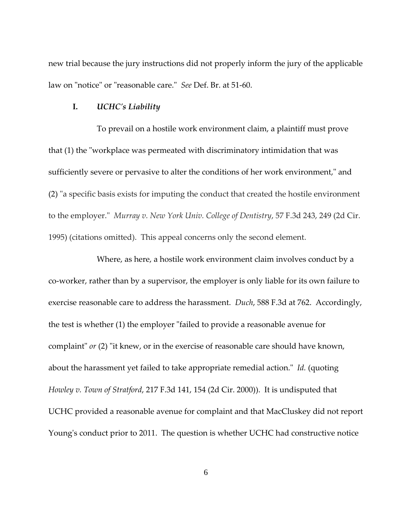new trial because the jury instructions did not properly inform the jury of the applicable law on "notice" or "reasonable care." *See* Def. Br. at 51-60.

### **I.** *UCHCʹs Liability*

 To prevail on a hostile work environment claim, a plaintiff must prove that (1) the "workplace was permeated with discriminatory intimidation that was sufficiently severe or pervasive to alter the conditions of her work environment," and (2) "a specific basis exists for imputing the conduct that created the hostile environment to the employer.ʺ *Murray v. New York Univ. College of Dentistry*, 57 F.3d 243, 249 (2d Cir. 1995) (citations omitted). This appeal concerns only the second element.

 Where, as here, a hostile work environment claim involves conduct by a co‐worker, rather than by a supervisor, the employer is only liable for its own failure to exercise reasonable care to address the harassment. *Duch*, 588 F.3d at 762. Accordingly, the test is whether (1) the employer "failed to provide a reasonable avenue for complaint" or (2) "it knew, or in the exercise of reasonable care should have known, about the harassment yet failed to take appropriate remedial action." Id. (quoting *Howley v. Town of Stratford*, 217 F.3d 141, 154 (2d Cir. 2000)). It is undisputed that UCHC provided a reasonable avenue for complaint and that MacCluskey did not report Young's conduct prior to 2011. The question is whether UCHC had constructive notice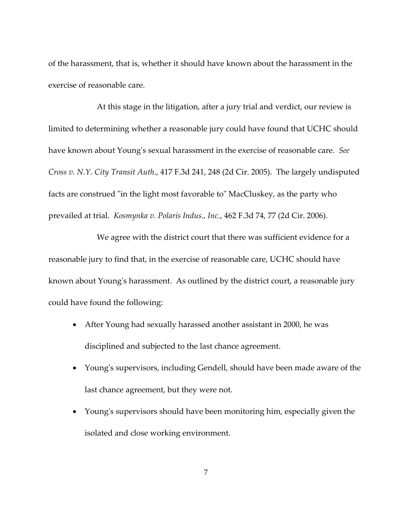of the harassment, that is, whether it should have known about the harassment in the exercise of reasonable care.

 At this stage in the litigation, after a jury trial and verdict, our review is limited to determining whether a reasonable jury could have found that UCHC should have known about Youngʹs sexual harassment in the exercise of reasonable care. *See Cross v. N.Y. City Transit Auth*., 417 F.3d 241, 248 (2d Cir. 2005). The largely undisputed facts are construed "in the light most favorable to" MacCluskey, as the party who prevailed at trial. *Kosmynka v. Polaris Indus., Inc.*, 462 F.3d 74, 77 (2d Cir. 2006).

We agree with the district court that there was sufficient evidence for a reasonable jury to find that, in the exercise of reasonable care, UCHC should have known about Youngʹs harassment. As outlined by the district court, a reasonable jury could have found the following:

- After Young had sexually harassed another assistant in 2000, he was disciplined and subjected to the last chance agreement.
- Young's supervisors, including Gendell, should have been made aware of the last chance agreement, but they were not.
- Young's supervisors should have been monitoring him, especially given the isolated and close working environment.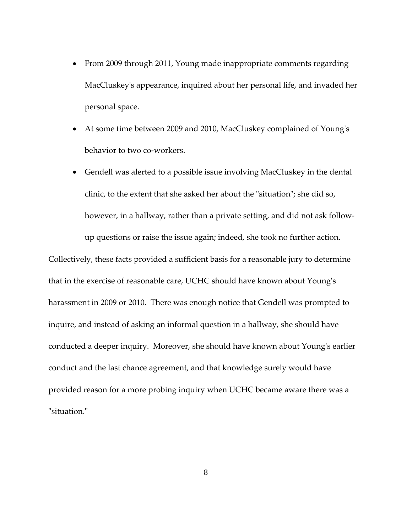- From 2009 through 2011, Young made inappropriate comments regarding MacCluskeyʹs appearance, inquired about her personal life, and invaded her personal space.
- At some time between 2009 and 2010, MacCluskey complained of Young's behavior to two co-workers.
- Gendell was alerted to a possible issue involving MacCluskey in the dental clinic, to the extent that she asked her about the "situation"; she did so, however, in a hallway, rather than a private setting, and did not ask followup questions or raise the issue again; indeed, she took no further action.

Collectively, these facts provided a sufficient basis for a reasonable jury to determine that in the exercise of reasonable care, UCHC should have known about Youngʹs harassment in 2009 or 2010. There was enough notice that Gendell was prompted to inquire, and instead of asking an informal question in a hallway, she should have conducted a deeper inquiry. Moreover, she should have known about Young's earlier conduct and the last chance agreement, and that knowledge surely would have provided reason for a more probing inquiry when UCHC became aware there was a "situation."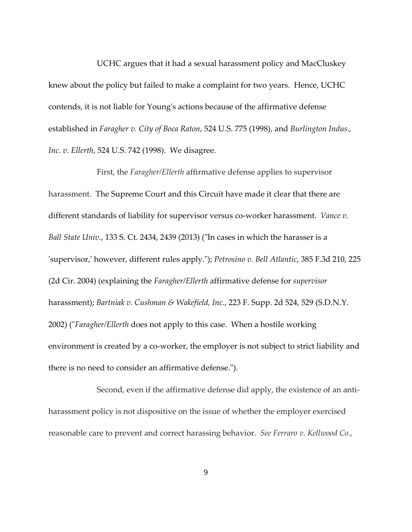UCHC argues that it had a sexual harassment policy and MacCluskey knew about the policy but failed to make a complaint for two years. Hence, UCHC contends, it is not liable for Youngʹs actions because of the affirmative defense established in *Faragher v. City of Boca Raton*, 524 U.S. 775 (1998), and *Burlington Indus., Inc. v. Ellerth*, 524 U.S. 742 (1998). We disagree. 

 First, the *Faragher/Ellerth* affirmative defense applies to supervisor harassment. The Supreme Court and this Circuit have made it clear that there are different standards of liability for supervisor versus co‐worker harassment. *Vance v. Ball State Univ.*, 133 S. Ct. 2434, 2439 (2013) (ʺIn cases in which the harasser is a ʹsupervisor,ʹ however, different rules apply.ʺ); *Petrosino v. Bell Atlantic*, 385 F.3d 210, 225 (2d Cir. 2004) (explaining the *Faragher/Ellerth* affirmative defense for *supervisor* harassment); *Bartniak v. Cushman & Wakefield, Inc.*, 223 F. Supp. 2d 524, 529 (S.D.N.Y. 2002) ("*Faragher/Ellerth* does not apply to this case. When a hostile working environment is created by a co-worker, the employer is not subject to strict liability and there is no need to consider an affirmative defense.").

Second, even if the affirmative defense did apply, the existence of an antiharassment policy is not dispositive on the issue of whether the employer exercised reasonable care to prevent and correct harassing behavior. *See Ferraro v. Kellwood Co.*,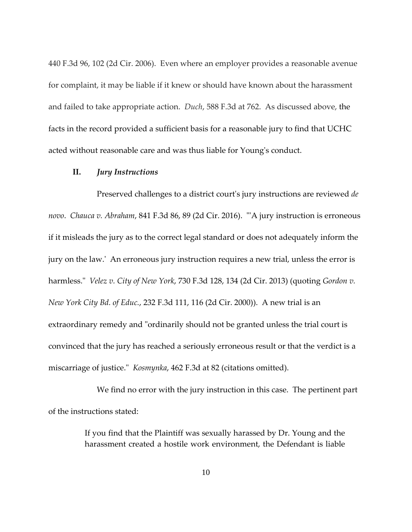440 F.3d 96, 102 (2d Cir. 2006). Even where an employer provides a reasonable avenue for complaint, it may be liable if it knew or should have known about the harassment and failed to take appropriate action. *Duch*, 588 F.3d at 762. As discussed above, the facts in the record provided a sufficient basis for a reasonable jury to find that UCHC acted without reasonable care and was thus liable for Young's conduct.

### **II.** *Jury Instructions*

 Preserved challenges to a district courtʹs jury instructions are reviewed *de novo*. *Chauca v. Abraham*, 841 F.3d 86, 89 (2d Cir. 2016). ʺʹA jury instruction is erroneous if it misleads the jury as to the correct legal standard or does not adequately inform the jury on the law. An erroneous jury instruction requires a new trial, unless the error is harmless.ʺ *Velez v. City of New York*, 730 F.3d 128, 134 (2d Cir. 2013) (quoting *Gordon v. New York City Bd. of Educ.*, 232 F.3d 111, 116 (2d Cir. 2000)). A new trial is an extraordinary remedy and "ordinarily should not be granted unless the trial court is convinced that the jury has reached a seriously erroneous result or that the verdict is a miscarriage of justice.<sup>"</sup> *Kosmynka*, 462 F.3d at 82 (citations omitted).

 We find no error with the jury instruction in this case. The pertinent part of the instructions stated:

> If you find that the Plaintiff was sexually harassed by Dr. Young and the harassment created a hostile work environment, the Defendant is liable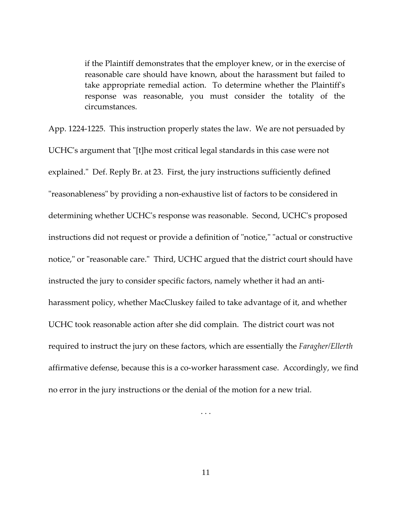if the Plaintiff demonstrates that the employer knew, or in the exercise of reasonable care should have known, about the harassment but failed to take appropriate remedial action. To determine whether the Plaintiff's response was reasonable, you must consider the totality of the circumstances.

App. 1224‐1225. This instruction properly states the law. We are not persuaded by UCHC's argument that "[t]he most critical legal standards in this case were not explained." Def. Reply Br. at 23. First, the jury instructions sufficiently defined "reasonableness" by providing a non-exhaustive list of factors to be considered in determining whether UCHCʹs response was reasonable. Second, UCHCʹs proposed instructions did not request or provide a definition of "notice," "actual or constructive notice," or "reasonable care." Third, UCHC argued that the district court should have instructed the jury to consider specific factors, namely whether it had an antiharassment policy, whether MacCluskey failed to take advantage of it, and whether UCHC took reasonable action after she did complain. The district court was not required to instruct the jury on these factors, which are essentially the *Faragher/Ellerth* affirmative defense, because this is a co‐worker harassment case. Accordingly, we find no error in the jury instructions or the denial of the motion for a new trial.

. . .